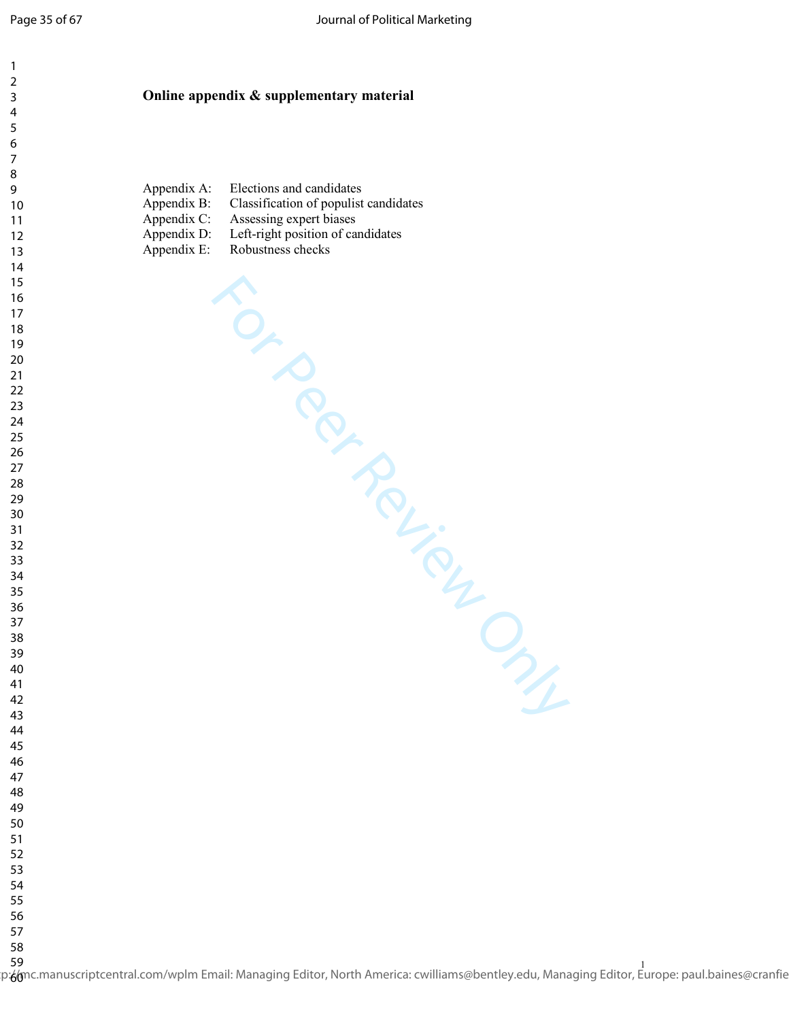For Peer Review Only

## **Online appendix & supplementary material**

| Appendix A: | Elections and candidates              |
|-------------|---------------------------------------|
| Appendix B: | Classification of populist candidates |
| Appendix C: | Assessing expert biases               |
| Appendix D: | Left-right position of candidates     |
| Appendix E: | Robustness checks                     |

 

لاد<br>p:<mark>6/m</mark>c.manuscriptcentral.com/wplm Email: Managing Editor, North America: cwilliams@bentley.edu, Managing Editor, Europe: paul.baines@cranfie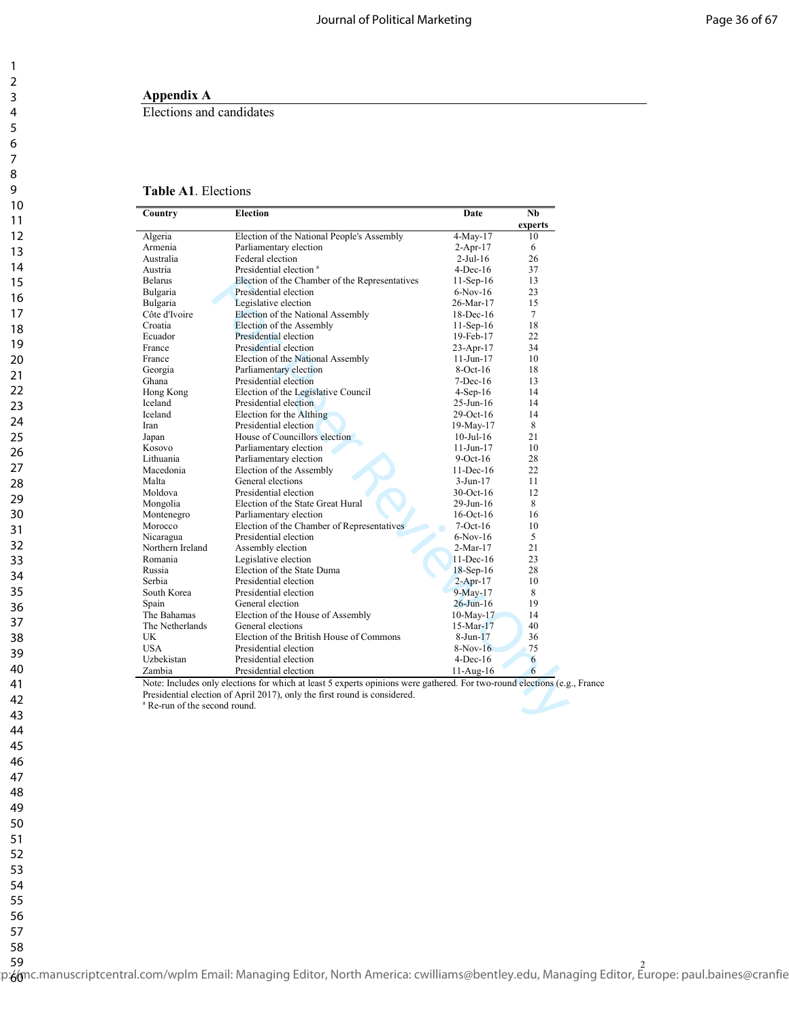## **Appendix A**

Elections and candidates

## **Table A1**. Elections

| Country                                  | <b>Election</b>                                                                                                   | Date            | Nb      |  |
|------------------------------------------|-------------------------------------------------------------------------------------------------------------------|-----------------|---------|--|
|                                          |                                                                                                                   |                 | experts |  |
| Algeria                                  | Election of the National People's Assembly                                                                        | 4-May-17        | 10      |  |
| Armenia                                  | Parliamentary election                                                                                            | $2-Apr-17$      | 6       |  |
| Australia                                | Federal election                                                                                                  | $2$ -Jul-16     | 26      |  |
| Austria                                  | Presidential election <sup>a</sup>                                                                                | $4$ -Dec-16     | 37      |  |
| <b>Belarus</b>                           | Election of the Chamber of the Representatives                                                                    | $11-Sep-16$     | 13      |  |
| Bulgaria                                 | Presidential election                                                                                             | $6-Nov-16$      | 23      |  |
| Bulgaria                                 | Legislative election                                                                                              | 26-Mar-17       | 15      |  |
| Côte d'Ivoire                            | Election of the National Assembly                                                                                 | $18$ -Dec-16    | $\tau$  |  |
| Croatia                                  | Election of the Assembly                                                                                          | $11-Sep-16$     | 18      |  |
| Ecuador                                  | Presidential election                                                                                             | 19-Feb-17       | 22      |  |
| France                                   | Presidential election                                                                                             | $23-Apr-17$     | 34      |  |
| France                                   | Election of the National Assembly                                                                                 | $11-J$ un- $17$ | 10      |  |
| Georgia                                  | Parliamentary election                                                                                            | $8-Oct-16$      | 18      |  |
| Ghana                                    | Presidential election                                                                                             | $7$ -Dec-16     | 13      |  |
| Hong Kong                                | Election of the Legislative Council                                                                               | $4-Sep-16$      | 14      |  |
| Iceland                                  | Presidential election                                                                                             | 25-Jun-16       | 14      |  |
| Iceland                                  | Election for the Althing                                                                                          | 29-Oct-16       | 14      |  |
| Iran                                     | Presidential election                                                                                             | 19-May-17       | 8       |  |
| Japan                                    | House of Councillors election                                                                                     | $10$ -Jul- $16$ | 21      |  |
| Kosovo                                   | Parliamentary election                                                                                            | $11-Jun-17$     | 10      |  |
| Lithuania                                | Parliamentary election                                                                                            | $9-Oct-16$      | 28      |  |
| Macedonia                                | Election of the Assembly                                                                                          | $11$ -Dec-16    | 22      |  |
| Malta                                    | General elections                                                                                                 | $3-Jun-17$      | 11      |  |
| Moldova                                  | Presidential election                                                                                             | 30-Oct-16       | 12      |  |
| Mongolia                                 | Election of the State Great Hural                                                                                 | 29-Jun-16       | 8       |  |
| Montenegro                               | Parliamentary election                                                                                            | $16$ -Oct- $16$ | 16      |  |
| Morocco                                  | Election of the Chamber of Representatives                                                                        | $7-Oct-16$      | 10      |  |
| Nicaragua                                | Presidential election                                                                                             | $6-Nov-16$      | 5       |  |
| Northern Ireland                         | Assembly election                                                                                                 | $2-Mar-17$      | 21      |  |
| Romania                                  | Legislative election                                                                                              | $11$ -Dec-16    | 23      |  |
| Russia                                   | Election of the State Duma                                                                                        | $18$ -Sep-16    | 28      |  |
| Serbia                                   | Presidential election                                                                                             | $2 - Apr-17$    | 10      |  |
| South Korea                              | Presidential election                                                                                             | $9-May-17$      | 8       |  |
| Spain                                    | General election                                                                                                  | $26$ -Jun-16    | 19      |  |
| The Bahamas                              | Election of the House of Assembly                                                                                 | $10$ -May- $17$ | 14      |  |
| The Netherlands                          | General elections                                                                                                 | $15-Mar-17$     | 40      |  |
| UK                                       | Election of the British House of Commons                                                                          | $8-Jun-17$      | 36      |  |
| USA                                      | Presidential election                                                                                             | $8-Nov-16$      | 75      |  |
| Uzbekistan                               | Presidential election                                                                                             | $4$ -Dec-16     | 6       |  |
| Zambia                                   | Presidential election                                                                                             | $11-Aug-16$     | 6       |  |
|                                          |                                                                                                                   |                 |         |  |
|                                          | Note: Includes only elections for which at least 5 experts opinions were gathered. For two-round elections (e.g., |                 |         |  |
|                                          | Presidential election of April 2017), only the first round is considered.                                         |                 |         |  |
|                                          |                                                                                                                   |                 |         |  |
| <sup>a</sup> Re-run of the second round. |                                                                                                                   |                 |         |  |

Note: Includes only elections for which at least 5 experts opinions were gathered. For two-round elections (e.g., France Presidential election of April 2017), only the first round is considered.<br><sup>a</sup> Re-run of the second round.

 $\mathbf{1}$ 

58

ود<br>p:6/mc.manuscriptcentral.com/wplm Email: Managing Editor, North America: cwilliams@bentley.edu, Managing Editor, Europe: paul.baines@cranfie 59 60